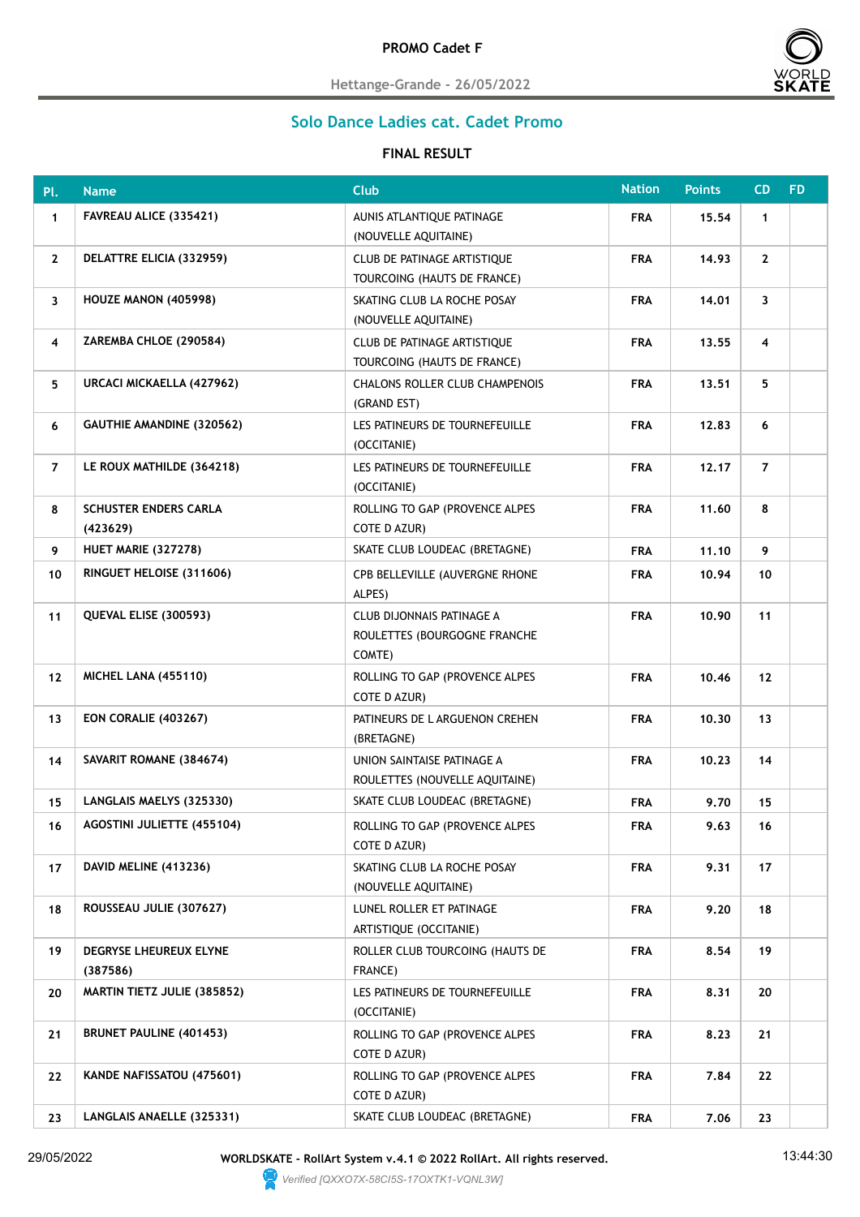

**Hettange-Grande - 26/05/2022**

## **Solo Dance Ladies cat. Cadet Promo**

## **FINAL RESULT**

| Pl.                     | <b>Name</b>                              | <b>Club</b>                                                         | <b>Nation</b> | <b>Points</b> | CD                      | <b>FD</b> |
|-------------------------|------------------------------------------|---------------------------------------------------------------------|---------------|---------------|-------------------------|-----------|
| $\mathbf{1}$            | FAVREAU ALICE (335421)                   | AUNIS ATLANTIQUE PATINAGE<br>(NOUVELLE AQUITAINE)                   | <b>FRA</b>    | 15.54         | $\mathbf{1}$            |           |
| $\mathbf{2}$            | DELATTRE ELICIA (332959)                 | CLUB DE PATINAGE ARTISTIQUE<br>TOURCOING (HAUTS DE FRANCE)          | <b>FRA</b>    | 14.93         | $\mathbf{2}$            |           |
| 3                       | HOUZE MANON (405998)                     | SKATING CLUB LA ROCHE POSAY<br>(NOUVELLE AQUITAINE)                 | <b>FRA</b>    | 14.01         | 3                       |           |
| $\overline{\mathbf{4}}$ | ZAREMBA CHLOE (290584)                   | CLUB DE PATINAGE ARTISTIQUE<br>TOURCOING (HAUTS DE FRANCE)          | <b>FRA</b>    | 13.55         | $\overline{\mathbf{4}}$ |           |
| 5                       | URCACI MICKAELLA (427962)                | <b>CHALONS ROLLER CLUB CHAMPENOIS</b><br>(GRAND EST)                | <b>FRA</b>    | 13.51         | 5                       |           |
| 6                       | <b>GAUTHIE AMANDINE (320562)</b>         | LES PATINEURS DE TOURNEFEUILLE<br>(OCCITANIE)                       | <b>FRA</b>    | 12.83         | 6                       |           |
| $\overline{7}$          | LE ROUX MATHILDE (364218)                | LES PATINEURS DE TOURNEFEUILLE<br>(OCCITANIE)                       | <b>FRA</b>    | 12.17         | $\overline{7}$          |           |
| 8                       | <b>SCHUSTER ENDERS CARLA</b><br>(423629) | ROLLING TO GAP (PROVENCE ALPES<br>COTE D AZUR)                      | <b>FRA</b>    | 11.60         | 8                       |           |
| 9                       | <b>HUET MARIE (327278)</b>               | SKATE CLUB LOUDEAC (BRETAGNE)                                       | <b>FRA</b>    | 11.10         | 9                       |           |
| 10                      | RINGUET HELOISE (311606)                 | CPB BELLEVILLE (AUVERGNE RHONE<br>ALPES)                            | <b>FRA</b>    | 10.94         | 10                      |           |
| 11                      | QUEVAL ELISE (300593)                    | CLUB DIJONNAIS PATINAGE A<br>ROULETTES (BOURGOGNE FRANCHE<br>COMTE) | <b>FRA</b>    | 10.90         | 11                      |           |
| 12                      | <b>MICHEL LANA (455110)</b>              | ROLLING TO GAP (PROVENCE ALPES<br>COTE D AZUR)                      | <b>FRA</b>    | 10,46         | 12                      |           |
| 13                      | <b>EON CORALIE (403267)</b>              | PATINEURS DE L ARGUENON CREHEN<br>(BRETAGNE)                        | <b>FRA</b>    | 10.30         | 13                      |           |
| 14                      | SAVARIT ROMANE (384674)                  | UNION SAINTAISE PATINAGE A<br>ROULETTES (NOUVELLE AQUITAINE)        | <b>FRA</b>    | 10.23         | 14                      |           |
| 15                      | LANGLAIS MAELYS (325330)                 | SKATE CLUB LOUDEAC (BRETAGNE)                                       | <b>FRA</b>    | 9.70          | 15                      |           |
| 16                      | AGOSTINI JULIETTE (455104)               | ROLLING TO GAP (PROVENCE ALPES<br>COTE D AZUR)                      | <b>FRA</b>    | 9.63          | 16                      |           |
| 17                      | DAVID MELINE (413236)                    | SKATING CLUB LA ROCHE POSAY<br>(NOUVELLE AQUITAINE)                 | <b>FRA</b>    | 9.31          | 17                      |           |
| 18                      | ROUSSEAU JULIE (307627)                  | LUNEL ROLLER ET PATINAGE<br>ARTISTIQUE (OCCITANIE)                  | <b>FRA</b>    | 9.20          | 18                      |           |
| 19                      | DEGRYSE LHEUREUX ELYNE<br>(387586)       | ROLLER CLUB TOURCOING (HAUTS DE<br>FRANCE)                          | <b>FRA</b>    | 8.54          | 19                      |           |
| 20                      | <b>MARTIN TIETZ JULIE (385852)</b>       | LES PATINEURS DE TOURNEFEUILLE<br>(OCCITANIE)                       | <b>FRA</b>    | 8.31          | 20                      |           |
| 21                      | <b>BRUNET PAULINE (401453)</b>           | ROLLING TO GAP (PROVENCE ALPES<br>COTE D AZUR)                      | <b>FRA</b>    | 8.23          | 21                      |           |
| 22                      | KANDE NAFISSATOU (475601)                | ROLLING TO GAP (PROVENCE ALPES<br>COTE D AZUR)                      | <b>FRA</b>    | 7.84          | 22                      |           |
| 23                      | LANGLAIS ANAELLE (325331)                | SKATE CLUB LOUDEAC (BRETAGNE)                                       | <b>FRA</b>    | 7.06          | 23                      |           |